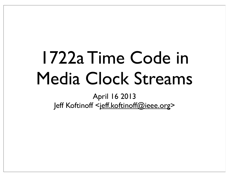### 1722a Time Code in Media Clock Streams

April 16 2013 Jeff Koftinoff <jeff.koftinoff@ieee.org>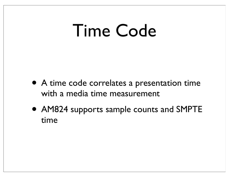#### Time Code

- A time code correlates a presentation time with a media time measurement
- AM824 supports sample counts and SMPTE time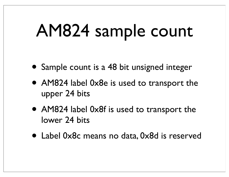#### AM824 sample count

- Sample count is a 48 bit unsigned integer
- AM824 label 0x8e is used to transport the upper 24 bits
- AM824 label 0x8f is used to transport the lower 24 bits
- Label 0x8c means no data, 0x8d is reserved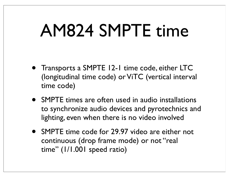#### AM824 SMPTE time

- Transports a SMPTE 12-1 time code, either LTC (longitudinal time code) or ViTC (vertical interval time code)
- SMPTE times are often used in audio installations to synchronize audio devices and pyrotechnics and lighting, even when there is no video involved
- SMPTE time code for 29.97 video are either not continuous (drop frame mode) or not "real time" (1/1.001 speed ratio)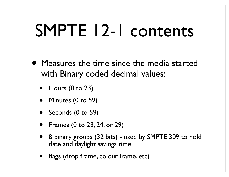### SMPTE 12-1 contents

- Measures the time since the media started with Binary coded decimal values:
	- $\bullet$  Hours (0 to 23)
	- Minutes (0 to 59)
	- Seconds (0 to 59)
	- Frames (0 to 23, 24, or 29)
	- 8 binary groups (32 bits) used by SMPTE 309 to hold date and daylight savings time
	- flags (drop frame, colour frame, etc)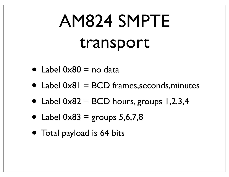# AM824 SMPTE transport

- Label  $0 \times 80 =$  no data
- Label 0x81 = BCD frames, seconds, minutes
- Label  $0 \times 82 = BCD$  hours, groups 1,2,3,4
- Label  $0 \times 83$  = groups 5,6,7,8
- Total payload is 64 bits